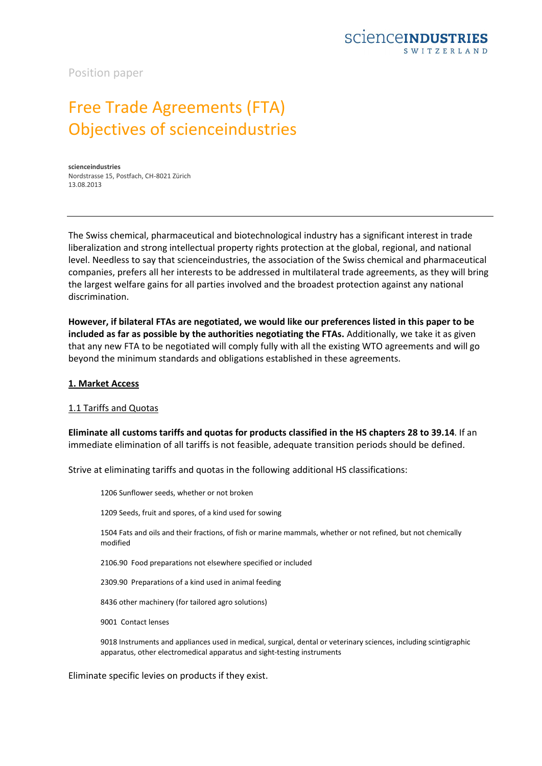

Position paper

# Free Trade Agreements (FTA) Objectives of scienceindustries

**scienceindustries** Nordstrasse 15, Postfach, CH-8021 Zürich 13.08.2013

The Swiss chemical, pharmaceutical and biotechnological industry has a significant interest in trade liberalization and strong intellectual property rights protection at the global, regional, and national level. Needless to say that scienceindustries, the association of the Swiss chemical and pharmaceutical companies, prefers all her interests to be addressed in multilateral trade agreements, as they will bring the largest welfare gains for all parties involved and the broadest protection against any national discrimination.

**However, if bilateral FTAs are negotiated, we would like our preferences listed in this paper to be included as far as possible by the authorities negotiating the FTAs.** Additionally, we take it as given that any new FTA to be negotiated will comply fully with all the existing WTO agreements and will go beyond the minimum standards and obligations established in these agreements.

#### **1. Market Access**

#### 1.1 Tariffs and Quotas

**Eliminate all customs tariffs and quotas for products classified in the HS chapters 28 to 39.14**. If an immediate elimination of all tariffs is not feasible, adequate transition periods should be defined.

Strive at eliminating tariffs and quotas in the following additional HS classifications:

1206 Sunflower seeds, whether or not broken

1209 Seeds, fruit and spores, of a kind used for sowing

1504 Fats and oils and their fractions, of fish or marine mammals, whether or not refined, but not chemically modified

2106.90 Food preparations not elsewhere specified or included

2309.90 Preparations of a kind used in animal feeding

8436 other machinery (for tailored agro solutions)

9001 Contact lenses

9018 Instruments and appliances used in medical, surgical, dental or veterinary sciences, including scintigraphic apparatus, other electromedical apparatus and sight-testing instruments

Eliminate specific levies on products if they exist.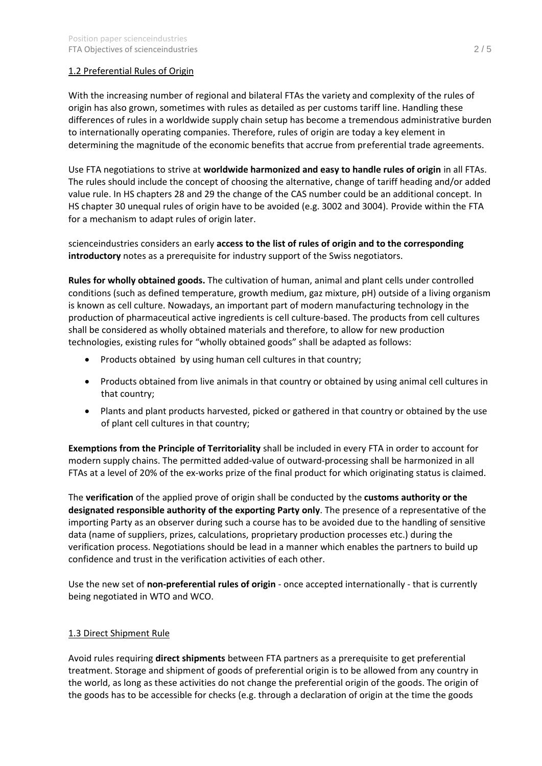# 1.2 Preferential Rules of Origin

With the increasing number of regional and bilateral FTAs the variety and complexity of the rules of origin has also grown, sometimes with rules as detailed as per customs tariff line. Handling these differences of rules in a worldwide supply chain setup has become a tremendous administrative burden to internationally operating companies. Therefore, rules of origin are today a key element in determining the magnitude of the economic benefits that accrue from preferential trade agreements.

Use FTA negotiations to strive at **worldwide harmonized and easy to handle rules of origin** in all FTAs. The rules should include the concept of choosing the alternative, change of tariff heading and/or added value rule. In HS chapters 28 and 29 the change of the CAS number could be an additional concept. In HS chapter 30 unequal rules of origin have to be avoided (e.g. 3002 and 3004). Provide within the FTA for a mechanism to adapt rules of origin later.

scienceindustries considers an early **access to the list of rules of origin and to the corresponding introductory** notes as a prerequisite for industry support of the Swiss negotiators.

**Rules for wholly obtained goods.** The cultivation of human, animal and plant cells under controlled conditions (such as defined temperature, growth medium, gaz mixture, pH) outside of a living organism is known as cell culture. Nowadays, an important part of modern manufacturing technology in the production of pharmaceutical active ingredients is cell culture-based. The products from cell cultures shall be considered as wholly obtained materials and therefore, to allow for new production technologies, existing rules for "wholly obtained goods" shall be adapted as follows:

- · Products obtained by using human cell cultures in that country;
- · Products obtained from live animals in that country or obtained by using animal cell cultures in that country;
- · Plants and plant products harvested, picked or gathered in that country or obtained by the use of plant cell cultures in that country;

**Exemptions from the Principle of Territoriality** shall be included in every FTA in order to account for modern supply chains. The permitted added-value of outward-processing shall be harmonized in all FTAs at a level of 20% of the ex-works prize of the final product for which originating status is claimed.

The **verification** of the applied prove of origin shall be conducted by the **customs authority or the designated responsible authority of the exporting Party only**. The presence of a representative of the importing Party as an observer during such a course has to be avoided due to the handling of sensitive data (name of suppliers, prizes, calculations, proprietary production processes etc.) during the verification process. Negotiations should be lead in a manner which enables the partners to build up confidence and trust in the verification activities of each other.

Use the new set of **non-preferential rules of origin** - once accepted internationally - that is currently being negotiated in WTO and WCO.

### 1.3 Direct Shipment Rule

Avoid rules requiring **direct shipments** between FTA partners as a prerequisite to get preferential treatment. Storage and shipment of goods of preferential origin is to be allowed from any country in the world, as long as these activities do not change the preferential origin of the goods. The origin of the goods has to be accessible for checks (e.g. through a declaration of origin at the time the goods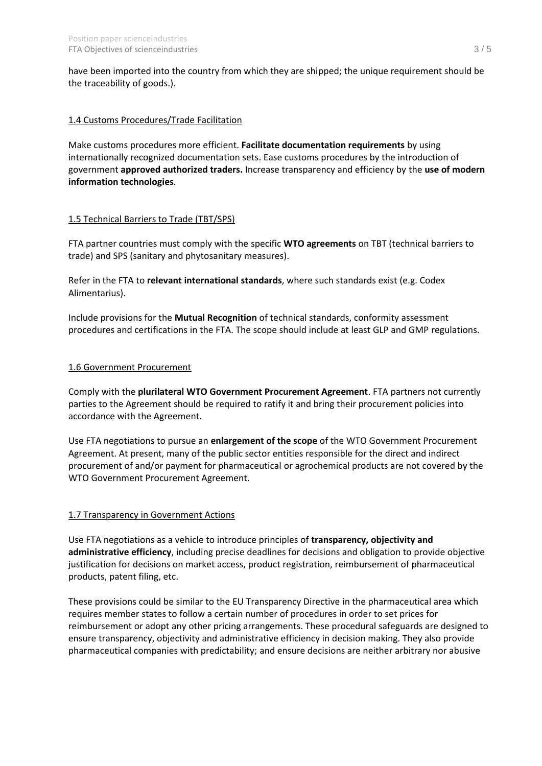have been imported into the country from which they are shipped; the unique requirement should be the traceability of goods.).

### 1.4 Customs Procedures/Trade Facilitation

Make customs procedures more efficient. **Facilitate documentation requirements** by using internationally recognized documentation sets. Ease customs procedures by the introduction of government **approved authorized traders.** Increase transparency and efficiency by the **use of modern information technologies**.

# 1.5 Technical Barriers to Trade (TBT/SPS)

FTA partner countries must comply with the specific **WTO agreements** on TBT (technical barriers to trade) and SPS (sanitary and phytosanitary measures).

Refer in the FTA to **relevant international standards**, where such standards exist (e.g. Codex Alimentarius).

Include provisions for the **Mutual Recognition** of technical standards, conformity assessment procedures and certifications in the FTA. The scope should include at least GLP and GMP regulations.

### 1.6 Government Procurement

Comply with the **plurilateral WTO Government Procurement Agreement**. FTA partners not currently parties to the Agreement should be required to ratify it and bring their procurement policies into accordance with the Agreement.

Use FTA negotiations to pursue an **enlargement of the scope** of the WTO Government Procurement Agreement. At present, many of the public sector entities responsible for the direct and indirect procurement of and/or payment for pharmaceutical or agrochemical products are not covered by the WTO Government Procurement Agreement.

### 1.7 Transparency in Government Actions

Use FTA negotiations as a vehicle to introduce principles of **transparency, objectivity and administrative efficiency**, including precise deadlines for decisions and obligation to provide objective justification for decisions on market access, product registration, reimbursement of pharmaceutical products, patent filing, etc.

These provisions could be similar to the EU Transparency Directive in the pharmaceutical area which requires member states to follow a certain number of procedures in order to set prices for reimbursement or adopt any other pricing arrangements. These procedural safeguards are designed to ensure transparency, objectivity and administrative efficiency in decision making. They also provide pharmaceutical companies with predictability; and ensure decisions are neither arbitrary nor abusive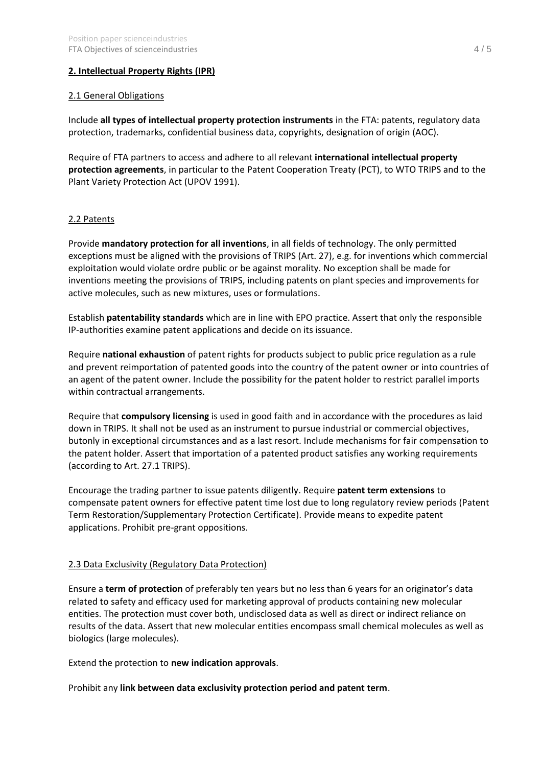### **2. Intellectual Property Rights (IPR)**

#### 2.1 General Obligations

Include **all types of intellectual property protection instruments** in the FTA: patents, regulatory data protection, trademarks, confidential business data, copyrights, designation of origin (AOC).

Require of FTA partners to access and adhere to all relevant **international intellectual property protection agreements**, in particular to the Patent Cooperation Treaty (PCT), to WTO TRIPS and to the Plant Variety Protection Act (UPOV 1991).

### 2.2 Patents

Provide **mandatory protection for all inventions**, in all fields of technology. The only permitted exceptions must be aligned with the provisions of TRIPS (Art. 27), e.g. for inventions which commercial exploitation would violate ordre public or be against morality. No exception shall be made for inventions meeting the provisions of TRIPS, including patents on plant species and improvements for active molecules, such as new mixtures, uses or formulations.

Establish **patentability standards** which are in line with EPO practice. Assert that only the responsible IP-authorities examine patent applications and decide on its issuance.

Require **national exhaustion** of patent rights for products subject to public price regulation as a rule and prevent reimportation of patented goods into the country of the patent owner or into countries of an agent of the patent owner. Include the possibility for the patent holder to restrict parallel imports within contractual arrangements.

Require that **compulsory licensing** is used in good faith and in accordance with the procedures as laid down in TRIPS. It shall not be used as an instrument to pursue industrial or commercial objectives, butonly in exceptional circumstances and as a last resort. Include mechanisms for fair compensation to the patent holder. Assert that importation of a patented product satisfies any working requirements (according to Art. 27.1 TRIPS).

Encourage the trading partner to issue patents diligently. Require **patent term extensions** to compensate patent owners for effective patent time lost due to long regulatory review periods (Patent Term Restoration/Supplementary Protection Certificate). Provide means to expedite patent applications. Prohibit pre-grant oppositions.

### 2.3 Data Exclusivity (Regulatory Data Protection)

Ensure a **term of protection** of preferably ten years but no less than 6 years for an originator's data related to safety and efficacy used for marketing approval of products containing new molecular entities. The protection must cover both, undisclosed data as well as direct or indirect reliance on results of the data. Assert that new molecular entities encompass small chemical molecules as well as biologics (large molecules).

Extend the protection to **new indication approvals**.

Prohibit any **link between data exclusivity protection period and patent term**.